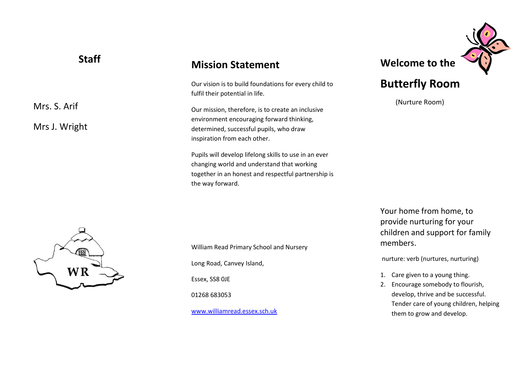| <b>Staff</b>                  | <b>Mission Statement</b>                                                                                                                                                  | Weld        |
|-------------------------------|---------------------------------------------------------------------------------------------------------------------------------------------------------------------------|-------------|
|                               | Our vision is to build foundations for every child to<br>fulfil their potential in life.                                                                                  | <b>Butt</b> |
| Mrs. S. Arif<br>Mrs J. Wright | Our mission, therefore, is to create an inclusive<br>environment encouraging forward thinking,<br>determined, successful pupils, who draw<br>inspiration from each other. | (N)         |

Pupils will develop lifelong skills to use in an ever changing world and understand that working together in an honest and respectful partnership is the way forward.

**come to the** 

## **Butterfly Room**

(Nurture Room)



William Read Primary School and Nursery Long Road, Canvey Island, Essex, SS8 0JE 01268 683053 [www.williamread.essex.sch.uk](http://www.williamread.essex.sch.uk/)

Your home from home, to provide nurturing for your children and support for family members.

nurture: verb (nurtures, nurturing)

- 1. Care given to a young thing.
- 2. Encourage somebody to flourish, develop, thrive and be successful. Tender care of young children, helping them to grow and develop.